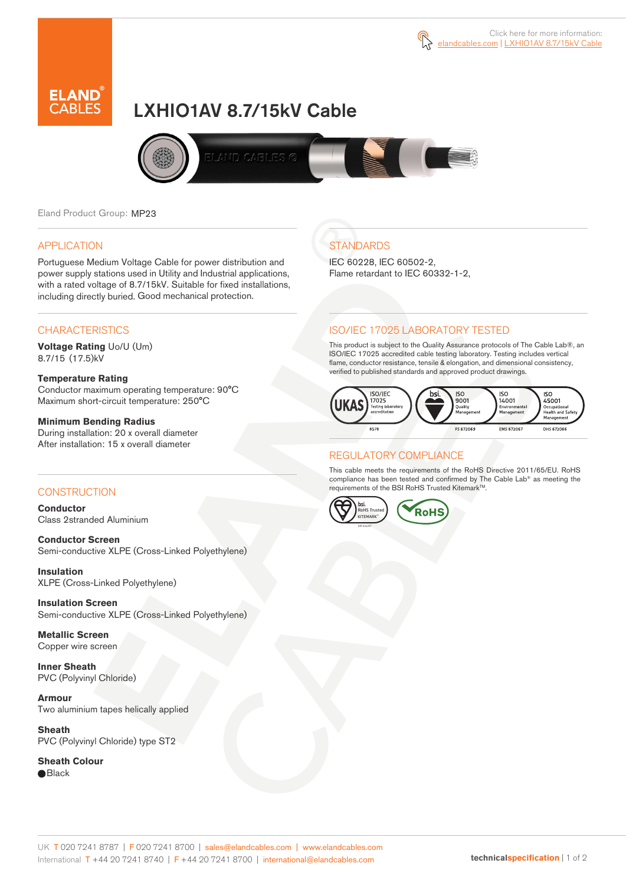



# LXHIO1AV 8.7/15kV Cable



Eland Product Group: MP23

### APPLICATION

Portuguese Medium Voltage Cable for power distribution and power supply stations used in Utility and Industrial applications, with a rated voltage of 8.7/15kV. Suitable for fixed installations, including directly buried. Good mechanical protection.

### **CHARACTERISTICS**

**Voltage Rating** Uo/U (Um) 8.7/15 (17.5)kV

### **Temperature Rating**

Conductor maximum operating temperature: 90°C Maximum short-circuit temperature: 250°C

### **Minimum Bending Radius**

During installation: 20 x overall diameter After installation: 15 x overall diameter

### **CONSTRUCTION**

**Conductor**  Class 2stranded Aluminium

**Conductor Screen** Semi-conductive XLPE (Cross-Linked Polyethylene)

**Insulation** XLPE (Cross-Linked Polyethylene)

**Insulation Screen** Semi-conductive XLPE (Cross-Linked Polyethylene)

**Metallic Screen**  Copper wire screen

**Inner Sheath** PVC (Polyvinyl Chloride)

**Armour** Two aluminium tapes helically applied

**Sheath** PVC (Polyvinyl Chloride) type ST2

**Sheath Colour**  ● Black

# **STANDARDS**

IEC 60228, IEC 60502-2, Flame retardant to IEC 60332-1-2,

### ISO/IEC 17025 LABORATORY TESTED

This product is subject to the Quality Assurance protocols of The Cable Lab®, an ISO/IEC 17025 accredited cable testing laboratory. Testing includes vertical flame, conductor resistance, tensile & elongation, and dimensional consistency, verified to published standards and approved product drawings.



### REGULATORY COMPLIANCE

This cable meets the requirements of the RoHS Directive 2011/65/EU. RoHS compliance has been tested and confirmed by The Cable Lab® as meeting the requirements of the BSI RoHS Trusted Kitemark™.



#### UK T 020 7241 8787 | F 020 7241 8700 | sales@elandcables.com | www.elandcables.com International T +44 20 7241 8740 | F +44 20 7241 8700 | international@elandcables.com